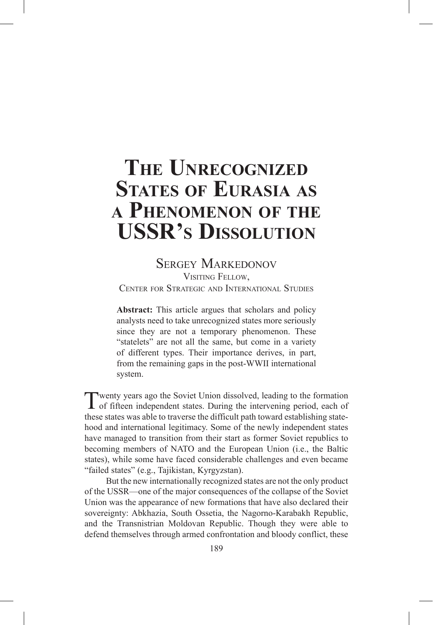# **The Unrecognized States of Eurasia as a Phenomenon of the USSR's Dissolution**

## Sergey Markedonov

Visiting Fellow, Center for Strategic and International Studies

**Abstract:** This article argues that scholars and policy analysts need to take unrecognized states more seriously since they are not a temporary phenomenon. These "statelets" are not all the same, but come in a variety of different types. Their importance derives, in part, from the remaining gaps in the post-WWII international system.

Twenty years ago the Soviet Union dissolved, leading to the formation of fifteen independent states. During the intervening period, each of these states was able to traverse the difficult path toward establishing statehood and international legitimacy. Some of the newly independent states have managed to transition from their start as former Soviet republics to becoming members of NATO and the European Union (i.e., the Baltic states), while some have faced considerable challenges and even became "failed states" (e.g., Tajikistan, Kyrgyzstan).

But the new internationally recognized states are not the only product of the USSR—one of the major consequences of the collapse of the Soviet Union was the appearance of new formations that have also declared their sovereignty: Abkhazia, South Ossetia, the Nagorno-Karabakh Republic, and the Transnistrian Moldovan Republic. Though they were able to defend themselves through armed confrontation and bloody conflict, these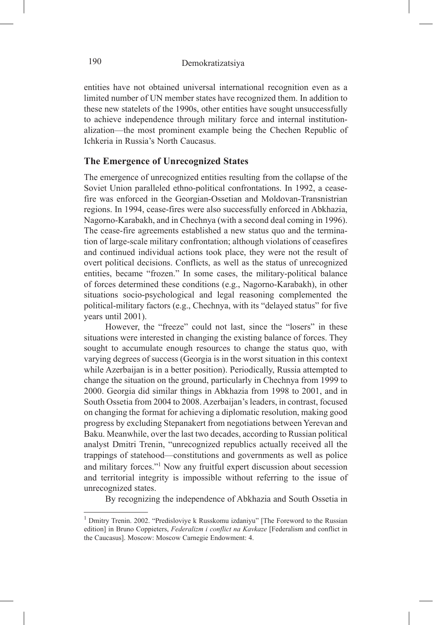entities have not obtained universal international recognition even as a limited number of UN member states have recognized them. In addition to these new statelets of the 1990s, other entities have sought unsuccessfully to achieve independence through military force and internal institutionalization—the most prominent example being the Chechen Republic of Ichkeria in Russia's North Caucasus.

#### **The Emergence of Unrecognized States**

The emergence of unrecognized entities resulting from the collapse of the Soviet Union paralleled ethno-political confrontations. In 1992, a ceasefire was enforced in the Georgian-Ossetian and Moldovan-Transnistrian regions. In 1994, cease-fires were also successfully enforced in Abkhazia, Nagorno-Karabakh, and in Chechnya (with a second deal coming in 1996). The cease-fire agreements established a new status quo and the termination of large-scale military confrontation; although violations of ceasefires and continued individual actions took place, they were not the result of overt political decisions. Conflicts, as well as the status of unrecognized entities, became "frozen." In some cases, the military-political balance of forces determined these conditions (e.g., Nagorno-Karabakh), in other situations socio-psychological and legal reasoning complemented the political-military factors (e.g., Chechnya, with its "delayed status" for five years until 2001).

However, the "freeze" could not last, since the "losers" in these situations were interested in changing the existing balance of forces. They sought to accumulate enough resources to change the status quo, with varying degrees of success (Georgia is in the worst situation in this context while Azerbaijan is in a better position). Periodically, Russia attempted to change the situation on the ground, particularly in Chechnya from 1999 to 2000. Georgia did similar things in Abkhazia from 1998 to 2001, and in South Ossetia from 2004 to 2008. Azerbaijan's leaders, in contrast, focused on changing the format for achieving a diplomatic resolution, making good progress by excluding Stepanakert from negotiations between Yerevan and Baku. Meanwhile, over the last two decades, according to Russian political analyst Dmitri Trenin, "unrecognized republics actually received all the trappings of statehood—constitutions and governments as well as police and military forces."<sup>1</sup> Now any fruitful expert discussion about secession and territorial integrity is impossible without referring to the issue of unrecognized states.

By recognizing the independence of Abkhazia and South Ossetia in

<sup>&</sup>lt;sup>1</sup> Dmitry Trenin. 2002. "Predisloviye k Russkomu izdaniyu" [The Foreword to the Russian edition] in Bruno Coppieters, *Federalizm i conflict na Kavkaze* [Federalism and conflict in the Caucasus]. Moscow: Moscow Carnegie Endowment: 4.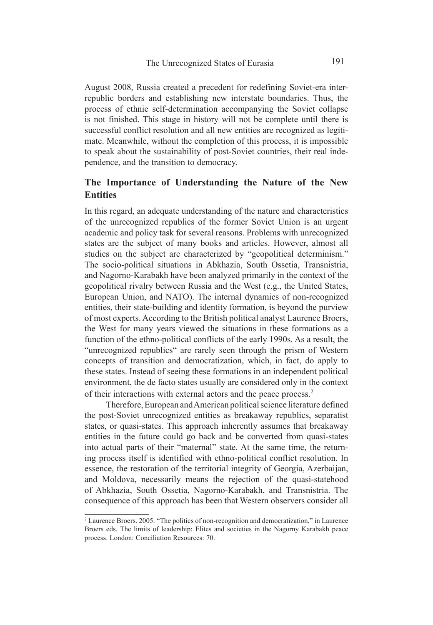August 2008, Russia created a precedent for redefining Soviet-era interrepublic borders and establishing new interstate boundaries. Thus, the process of ethnic self-determination accompanying the Soviet collapse is not finished. This stage in history will not be complete until there is successful conflict resolution and all new entities are recognized as legitimate. Meanwhile, without the completion of this process, it is impossible to speak about the sustainability of post-Soviet countries, their real independence, and the transition to democracy.

### **The Importance of Understanding the Nature of the New Entities**

In this regard, an adequate understanding of the nature and characteristics of the unrecognized republics of the former Soviet Union is an urgent academic and policy task for several reasons. Problems with unrecognized states are the subject of many books and articles. However, almost all studies on the subject are characterized by "geopolitical determinism." The socio-political situations in Abkhazia, South Ossetia, Transnistria, and Nagorno-Karabakh have been analyzed primarily in the context of the geopolitical rivalry between Russia and the West (e.g., the United States, European Union, and NATO). The internal dynamics of non-recognized entities, their state-building and identity formation, is beyond the purview of most experts. According to the British political analyst Laurence Broers, the West for many years viewed the situations in these formations as a function of the ethno-political conflicts of the early 1990s. As a result, the "unrecognized republics" are rarely seen through the prism of Western concepts of transition and democratization, which, in fact, do apply to these states. Instead of seeing these formations in an independent political environment, the de facto states usually are considered only in the context of their interactions with external actors and the peace process.2

Therefore, European and American political science literature defined the post-Soviet unrecognized entities as breakaway republics, separatist states, or quasi-states. This approach inherently assumes that breakaway entities in the future could go back and be converted from quasi-states into actual parts of their "maternal" state. At the same time, the returning process itself is identified with ethno-political conflict resolution. In essence, the restoration of the territorial integrity of Georgia, Azerbaijan, and Moldova, necessarily means the rejection of the quasi-statehood of Abkhazia, South Ossetia, Nagorno-Karabakh, and Transnistria. The consequence of this approach has been that Western observers consider all

<sup>2</sup> Laurence Broers. 2005. "The politics of non-recognition and democratization," in Laurence Broers eds. The limits of leadership: Elites and societies in the Nagorny Karabakh peace process. London: Conciliation Resources: 70.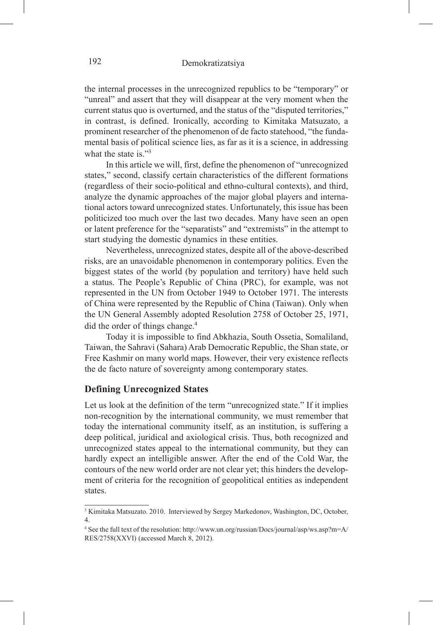the internal processes in the unrecognized republics to be "temporary" or "unreal" and assert that they will disappear at the very moment when the current status quo is overturned, and the status of the "disputed territories," in contrast, is defined. Ironically, according to Kimitaka Matsuzato, a prominent researcher of the phenomenon of de facto statehood, "the fundamental basis of political science lies, as far as it is a science, in addressing what the state is."<sup>3</sup>

In this article we will, first, define the phenomenon of "unrecognized states," second, classify certain characteristics of the different formations (regardless of their socio-political and ethno-cultural contexts), and third, analyze the dynamic approaches of the major global players and international actors toward unrecognized states. Unfortunately, this issue has been politicized too much over the last two decades. Many have seen an open or latent preference for the "separatists" and "extremists" in the attempt to start studying the domestic dynamics in these entities.

Nevertheless, unrecognized states, despite all of the above-described risks, are an unavoidable phenomenon in contemporary politics. Even the biggest states of the world (by population and territory) have held such a status. The People's Republic of China (PRC), for example, was not represented in the UN from October 1949 to October 1971. The interests of China were represented by the Republic of China (Taiwan). Only when the UN General Assembly adopted Resolution 2758 of October 25, 1971, did the order of things change.<sup>4</sup>

Today it is impossible to find Abkhazia, South Ossetia, Somaliland, Taiwan, the Sahravi (Sahara) Arab Democratic Republic, the Shan state, or Free Kashmir on many world maps. However, their very existence reflects the de facto nature of sovereignty among contemporary states.

#### **Defining Unrecognized States**

Let us look at the definition of the term "unrecognized state." If it implies non-recognition by the international community, we must remember that today the international community itself, as an institution, is suffering a deep political, juridical and axiological crisis. Thus, both recognized and unrecognized states appeal to the international community, but they can hardly expect an intelligible answer. After the end of the Cold War, the contours of the new world order are not clear yet; this hinders the development of criteria for the recognition of geopolitical entities as independent states.

<sup>&</sup>lt;sup>3</sup> Kimitaka Matsuzato. 2010. Interviewed by Sergey Markedonov, Washington, DC, October, 4.

<sup>4</sup> See the full text of the resolution: http://www.un.org/russian/Docs/journal/asp/ws.asp?m=A/ RES/2758(XXVI) (accessed March 8, 2012).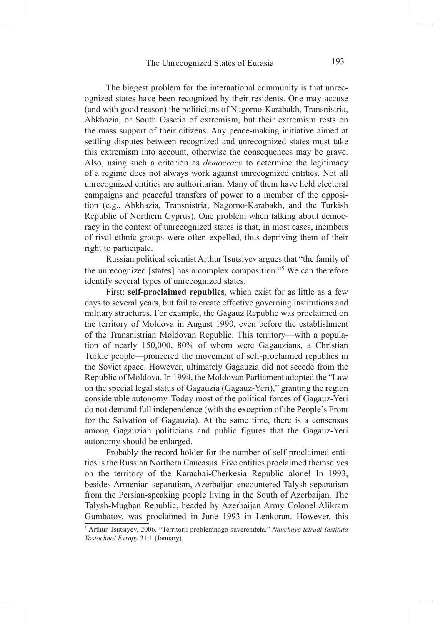The biggest problem for the international community is that unrecognized states have been recognized by their residents. One may accuse (and with good reason) the politicians of Nagorno-Karabakh, Transnistria, Abkhazia, or South Ossetia of extremism, but their extremism rests on the mass support of their citizens. Any peace-making initiative aimed at settling disputes between recognized and unrecognized states must take this extremism into account, otherwise the consequences may be grave. Also, using such a criterion as *democracy* to determine the legitimacy of a regime does not always work against unrecognized entities. Not all unrecognized entities are authoritarian. Many of them have held electoral campaigns and peaceful transfers of power to a member of the opposition (e.g., Abkhazia, Transnistria, Nagorno-Karabakh, and the Turkish Republic of Northern Cyprus). One problem when talking about democracy in the context of unrecognized states is that, in most cases, members of rival ethnic groups were often expelled, thus depriving them of their right to participate.

Russian political scientist Arthur Tsutsiyev argues that "the family of the unrecognized [states] has a complex composition."5 We can therefore identify several types of unrecognized states.

First: **self-proclaimed republics**, which exist for as little as a few days to several years, but fail to create effective governing institutions and military structures. For example, the Gagauz Republic was proclaimed on the territory of Moldova in August 1990, even before the establishment of the Transnistrian Moldovan Republic. This territory—with a population of nearly 150,000, 80% of whom were Gagauzians, a Christian Turkic people—pioneered the movement of self-proclaimed republics in the Soviet space. However, ultimately Gagauzia did not secede from the Republic of Moldova. In 1994, the Moldovan Parliament adopted the "Law on the special legal status of Gagauzia (Gagauz-Yeri)," granting the region considerable autonomy. Today most of the political forces of Gagauz-Yeri do not demand full independence (with the exception of the People's Front for the Salvation of Gagauzia). At the same time, there is a consensus among Gagauzian politicians and public figures that the Gagauz-Yeri autonomy should be enlarged.

Probably the record holder for the number of self-proclaimed entities is the Russian Northern Caucasus. Five entities proclaimed themselves on the territory of the Karachai-Cherkesia Republic alone! In 1993, besides Armenian separatism, Azerbaijan encountered Talysh separatism from the Persian-speaking people living in the South of Azerbaijan. The Talysh-Mughan Republic, headed by Azerbaijan Army Colonel Alikram Gumbatov, was proclaimed in June 1993 in Lenkoran. However, this

<sup>5</sup> Arthur Tsutsiyev. 2006. "Territorii problemnogo suvereniteta." *Nauchnye tetradi Instituta Vostochnoi Evropy* 31:1 (January).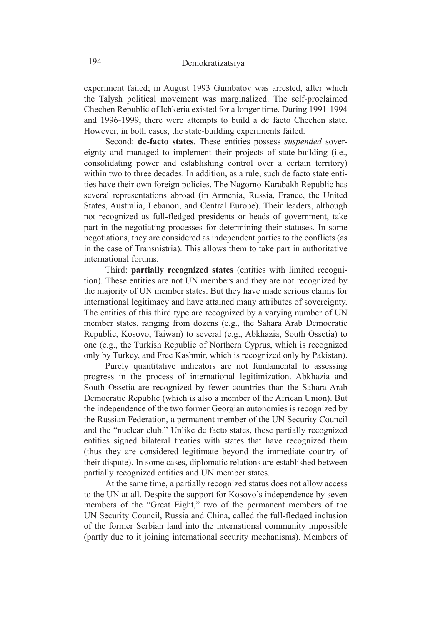experiment failed; in August 1993 Gumbatov was arrested, after which the Talysh political movement was marginalized. The self-proclaimed Chechen Republic of Ichkeria existed for a longer time. During 1991-1994 and 1996-1999, there were attempts to build a de facto Chechen state. However, in both cases, the state-building experiments failed.

Second: **de-facto states**. These entities possess *suspended* sovereignty and managed to implement their projects of state-building (i.e., consolidating power and establishing control over a certain territory) within two to three decades. In addition, as a rule, such de facto state entities have their own foreign policies. The Nagorno-Karabakh Republic has several representations abroad (in Armenia, Russia, France, the United States, Australia, Lebanon, and Central Europe). Their leaders, although not recognized as full-fledged presidents or heads of government, take part in the negotiating processes for determining their statuses. In some negotiations, they are considered as independent parties to the conflicts (as in the case of Transnistria). This allows them to take part in authoritative international forums.

Third: **partially recognized states** (entities with limited recognition). These entities are not UN members and they are not recognized by the majority of UN member states. But they have made serious claims for international legitimacy and have attained many attributes of sovereignty. The entities of this third type are recognized by a varying number of UN member states, ranging from dozens (e.g., the Sahara Arab Democratic Republic, Kosovo, Taiwan) to several (e.g., Abkhazia, South Ossetia) to one (e.g., the Turkish Republic of Northern Cyprus, which is recognized only by Turkey, and Free Kashmir, which is recognized only by Pakistan).

Purely quantitative indicators are not fundamental to assessing progress in the process of international legitimization. Abkhazia and South Ossetia are recognized by fewer countries than the Sahara Arab Democratic Republic (which is also a member of the African Union). But the independence of the two former Georgian autonomies is recognized by the Russian Federation, a permanent member of the UN Security Council and the "nuclear club." Unlike de facto states, these partially recognized entities signed bilateral treaties with states that have recognized them (thus they are considered legitimate beyond the immediate country of their dispute). In some cases, diplomatic relations are established between partially recognized entities and UN member states.

At the same time, a partially recognized status does not allow access to the UN at all. Despite the support for Kosovo's independence by seven members of the "Great Eight," two of the permanent members of the UN Security Council, Russia and China, called the full-fledged inclusion of the former Serbian land into the international community impossible (partly due to it joining international security mechanisms). Members of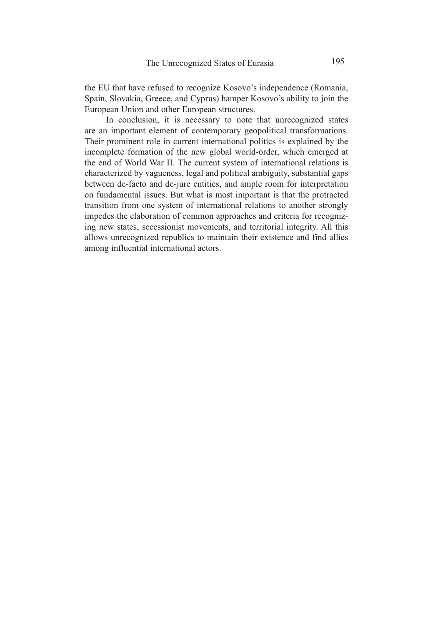the EU that have refused to recognize Kosovo's independence (Romania, Spain, Slovakia, Greece, and Cyprus) hamper Kosovo's ability to join the European Union and other European structures.

In conclusion, it is necessary to note that unrecognized states are an important element of contemporary geopolitical transformations. Their prominent role in current international politics is explained by the incomplete formation of the new global world-order, which emerged at the end of World War II. The current system of international relations is characterized by vagueness, legal and political ambiguity, substantial gaps between de-facto and de-jure entities, and ample room for interpretation on fundamental issues. But what is most important is that the protracted transition from one system of international relations to another strongly impedes the elaboration of common approaches and criteria for recognizing new states, secessionist movements, and territorial integrity. All this allows unrecognized republics to maintain their existence and find allies among influential international actors.